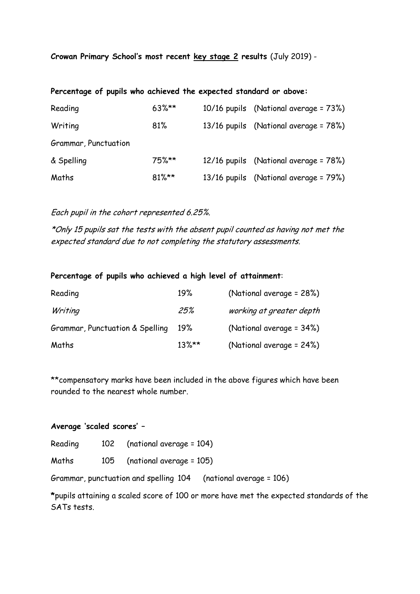**Crowan Primary School's most recent key stage 2 results** (July 2019) -

| Percentage of pupils who achieved the expected standard or above: |  |  |  |  |  |  |  |  |
|-------------------------------------------------------------------|--|--|--|--|--|--|--|--|
|-------------------------------------------------------------------|--|--|--|--|--|--|--|--|

| Reading              | $63\%**$ | 10/16 pupils (National average = 73%) |
|----------------------|----------|---------------------------------------|
| Writing              | 81%      | 13/16 pupils (National average = 78%) |
| Grammar, Punctuation |          |                                       |
| & Spelling           | $75\%**$ | 12/16 pupils (National average = 78%) |
| Maths                | $81\%**$ | 13/16 pupils (National average = 79%) |

Each pupil in the cohort represented 6.25%.

\*Only 15 pupils sat the tests with the absent pupil counted as having not met the expected standard due to not completing the statutory assessments.

## **Percentage of pupils who achieved a high level of attainment**:

| Reading                         | 19%      | (National average = 28%)     |
|---------------------------------|----------|------------------------------|
| Writing                         | 25%      | working at greater depth     |
| Grammar, Punctuation & Spelling | 19%      | (National average = $34\%$ ) |
| Maths                           | $13\%**$ | (National average = $24\%$ ) |

\*\*compensatory marks have been included in the above figures which have been rounded to the nearest whole number.

## **Average 'scaled scores' –**

Reading 102 (national average = 104)

Maths 105 (national average = 105)

Grammar, punctuation and spelling 104 (national average = 106)

**\***pupils attaining a scaled score of 100 or more have met the expected standards of the SATs tests.